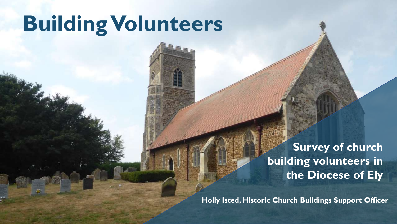# **BuildingVolunteers**

### **Survey of church building volunteers in the Diocese of Ely**

**Holly Isted, Historic Church Buildings Support Officer**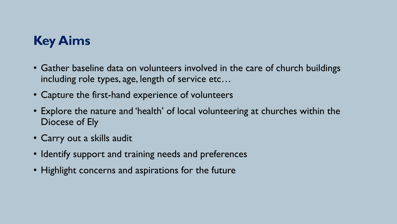# **Key Aims**

- Gather baseline data on volunteers involved in the care of church buildings including role types, age, length of service etc…
- Capture the first-hand experience of volunteers
- Explore the nature and 'health' of local volunteering at churches within the Diocese of Ely
- Carry out a skills audit
- Identify support and training needs and preferences
- Highlight concerns and aspirations for the future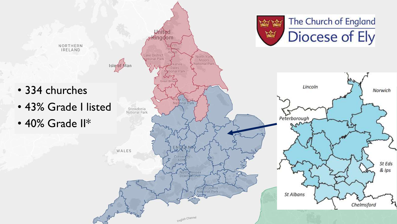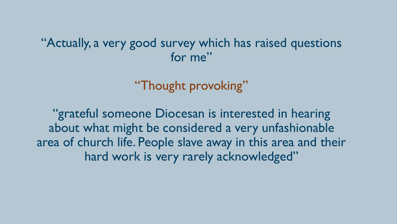### "Actually, a very good survey which has raised questions for me"

"Thought provoking"

"grateful someone Diocesan is interested in hearing about what might be considered a very unfashionable area of church life. People slave away in this area and their hard work is very rarely acknowledged"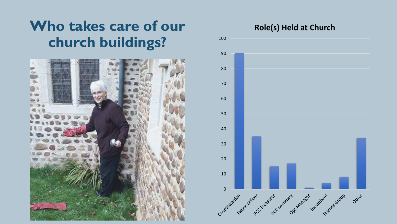# **Who takes care of our** Role(s) Held at Church **church buildings?**



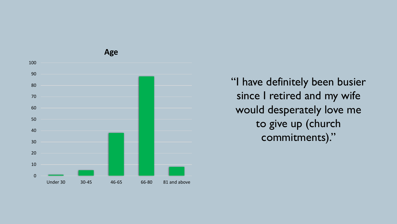

"I have definitely been busier since I retired and my wife would desperately love me to give up (church commitments)."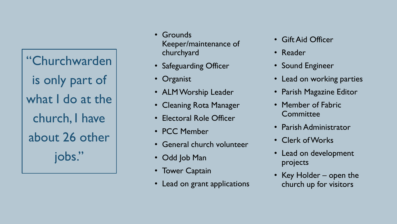"Churchwarden is only part of what I do at the church, I have about 26 other jobs."

- Grounds Keeper/maintenance of churchyard
- Safeguarding Officer
- Organist
- ALM Worship Leader
- Cleaning Rota Manager
- Electoral Role Officer
- PCC Member
- General church volunteer
- Odd Job Man
- Tower Captain
- Lead on grant applications
- Gift Aid Officer
- Reader
- Sound Engineer
- Lead on working parties
- Parish Magazine Editor
- Member of Fabric **Committee**
- Parish Administrator
- Clerk of Works
- Lead on development projects
- Key Holder open the church up for visitors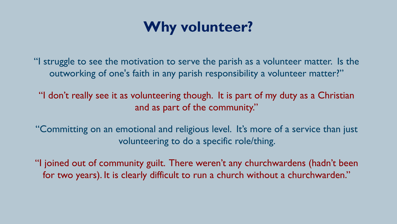# **Why volunteer?**

"I struggle to see the motivation to serve the parish as a volunteer matter. Is the outworking of one's faith in any parish responsibility a volunteer matter?"

"I don't really see it as volunteering though. It is part of my duty as a Christian and as part of the community."

"Committing on an emotional and religious level. It's more of a service than just volunteering to do a specific role/thing.

"I joined out of community guilt. There weren't any churchwardens (hadn't been for two years). It is clearly difficult to run a church without a churchwarden."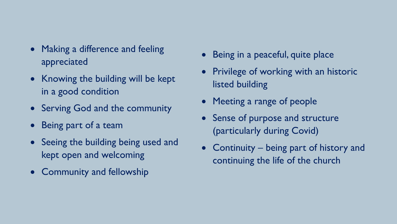- Making a difference and feeling appreciated
- Knowing the building will be kept in a good condition
- Serving God and the community
- Being part of a team
- Seeing the building being used and kept open and welcoming
- Community and fellowship
- Being in a peaceful, quite place
- Privilege of working with an historic listed building
- Meeting a range of people
- Sense of purpose and structure (particularly during Covid)
- Continuity being part of history and continuing the life of the church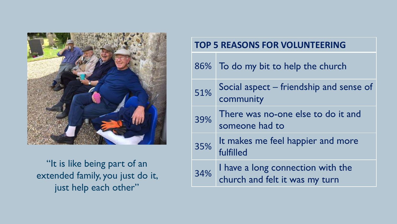

"It is like being part of an extended family, you just do it, just help each other"

#### **TOP 5 REASONS FOR VOLUNTEERING**

|  | $86\%$ | To do my bit to help the church                                     |
|--|--------|---------------------------------------------------------------------|
|  | 51%    | Social aspect – friendship and sense of<br>community                |
|  | 39%    | There was no-one else to do it and<br>someone had to                |
|  | 35%    | It makes me feel happier and more<br>fulfilled                      |
|  | 34%    | I have a long connection with the<br>church and felt it was my turn |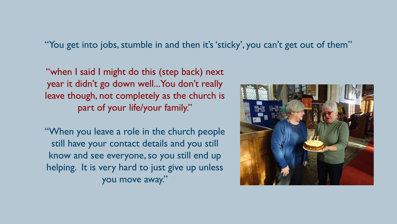"You get into jobs, stumble in and then it's 'sticky', you can't get out of them"

"when I said I might do this (step back) next year it didn't go down well...You don't really leave though, not completely as the church is part of your life/your family."

"When you leave a role in the church people still have your contact details and you still know and see everyone, so you still end up helping. It is very hard to just give up unless you move away."

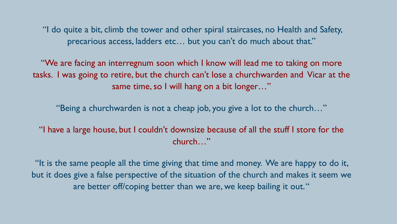"I do quite a bit, climb the tower and other spiral staircases, no Health and Safety, precarious access, ladders etc… but you can't do much about that."

"We are facing an interregnum soon which I know will lead me to taking on more tasks. I was going to retire, but the church can't lose a churchwarden and Vicar at the same time, so I will hang on a bit longer…"

"Being a churchwarden is not a cheap job, you give a lot to the church…"

"I have a large house, but I couldn't downsize because of all the stuff I store for the church…"

"It is the same people all the time giving that time and money. We are happy to do it, but it does give a false perspective of the situation of the church and makes it seem we are better off/coping better than we are, we keep bailing it out. "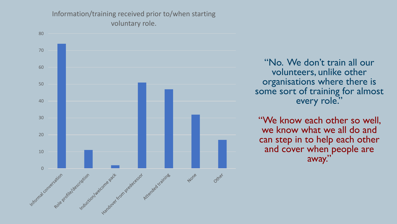Information/training received prior to/when starting voluntary role.



"No. We don't train all our volunteers, unlike other organisations where there is some sort of training for almost every role."

"We know each other so well, we know what we all do and can step in to help each other and cover when people are away."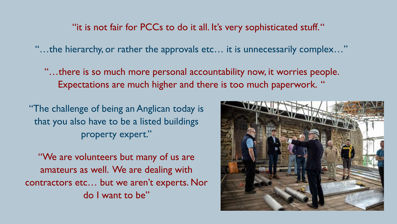"it is not fair for PCCs to do it all. It's very sophisticated stuff. "

"…the hierarchy, or rather the approvals etc… it is unnecessarily complex…"

"…there is so much more personal accountability now, it worries people. Expectations are much higher and there is too much paperwork. "

"The challenge of being an Anglican today is that you also have to be a listed buildings property expert."

"We are volunteers but many of us are amateurs as well. We are dealing with contractors etc… but we aren't experts. Nor do I want to be"

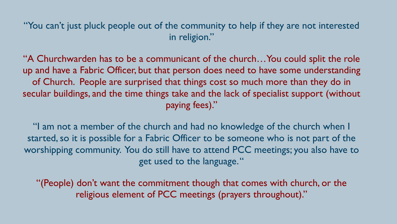"You can't just pluck people out of the community to help if they are not interested in religion."

"A Churchwarden has to be a communicant of the church…You could split the role up and have a Fabric Officer, but that person does need to have some understanding of Church. People are surprised that things cost so much more than they do in secular buildings, and the time things take and the lack of specialist support (without paying fees)."

"I am not a member of the church and had no knowledge of the church when I started, so it is possible for a Fabric Officer to be someone who is not part of the worshipping community. You do still have to attend PCC meetings; you also have to get used to the language. "

"(People) don't want the commitment though that comes with church, or the religious element of PCC meetings (prayers throughout)."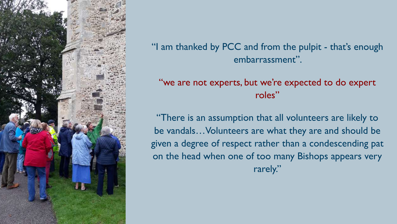

"I am thanked by PCC and from the pulpit - that's enough embarrassment".

#### "we are not experts, but we're expected to do expert roles"

"There is an assumption that all volunteers are likely to be vandals…Volunteers are what they are and should be given a degree of respect rather than a condescending pat on the head when one of too many Bishops appears very rarely."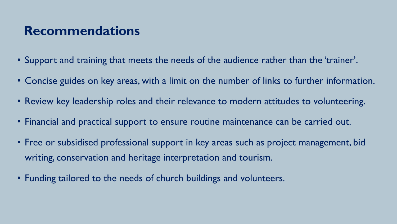## **Recommendations**

- Support and training that meets the needs of the audience rather than the 'trainer'.
- Concise guides on key areas, with a limit on the number of links to further information.
- Review key leadership roles and their relevance to modern attitudes to volunteering.
- Financial and practical support to ensure routine maintenance can be carried out.
- Free or subsidised professional support in key areas such as project management, bid writing, conservation and heritage interpretation and tourism.
- Funding tailored to the needs of church buildings and volunteers.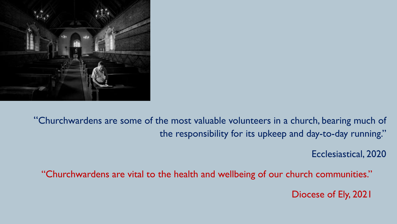

"Churchwardens are some of the most valuable volunteers in a church, bearing much of the responsibility for its upkeep and day-to-day running."

Ecclesiastical, 2020

"Churchwardens are vital to the health and wellbeing of our church communities."

Diocese of Ely, 2021